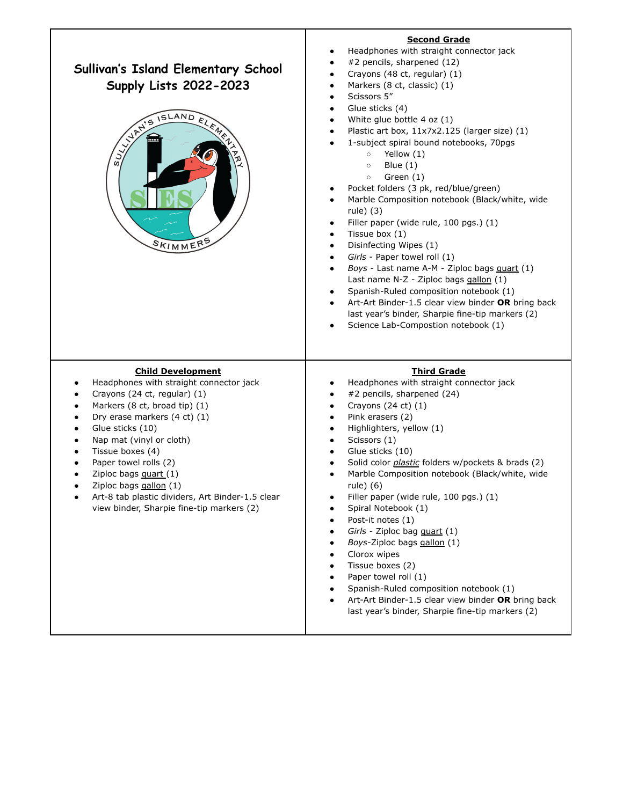| <b>Sullivan's Island Elementary School</b><br><b>Supply Lists 2022-2023</b><br>ANTISTAND<br>ELEMEN<br>SKIMMERS                                                                                                                                                                                                                                                                                                                                                                         | <b>Second Grade</b><br>Headphones with straight connector jack<br>#2 pencils, sharpened (12)<br>٠<br>Crayons (48 ct, regular) (1)<br>$\bullet$<br>Markers (8 ct, classic) (1)<br>$\bullet$<br>Scissors 5"<br>٠<br>Glue sticks (4)<br>$\bullet$<br>White glue bottle 4 oz (1)<br>٠<br>Plastic art box, 11x7x2.125 (larger size) (1)<br>$\bullet$<br>1-subject spiral bound notebooks, 70pgs<br>Yellow (1)<br>$\circ$<br>Blue $(1)$<br>$\circ$<br>Green (1)<br>$\circ$<br>Pocket folders (3 pk, red/blue/green)<br>٠<br>Marble Composition notebook (Black/white, wide<br>٠<br>rule) (3)<br>Filler paper (wide rule, 100 pgs.) (1)<br>٠<br>Tissue box (1)<br>٠<br>Disinfecting Wipes (1)<br>$\bullet$<br>Girls - Paper towel roll (1)<br>$\bullet$<br>Boys - Last name A-M - Ziploc bags quart (1)<br>$\bullet$<br>Last name N-Z - Ziploc bags gallon (1)<br>Spanish-Ruled composition notebook (1)<br>$\bullet$<br>Art-Art Binder-1.5 clear view binder OR bring back<br>$\bullet$<br>last year's binder, Sharpie fine-tip markers (2)<br>Science Lab-Compostion notebook (1) |
|----------------------------------------------------------------------------------------------------------------------------------------------------------------------------------------------------------------------------------------------------------------------------------------------------------------------------------------------------------------------------------------------------------------------------------------------------------------------------------------|------------------------------------------------------------------------------------------------------------------------------------------------------------------------------------------------------------------------------------------------------------------------------------------------------------------------------------------------------------------------------------------------------------------------------------------------------------------------------------------------------------------------------------------------------------------------------------------------------------------------------------------------------------------------------------------------------------------------------------------------------------------------------------------------------------------------------------------------------------------------------------------------------------------------------------------------------------------------------------------------------------------------------------------------------------------------------|
| <b>Child Development</b><br>Headphones with straight connector jack<br>Crayons (24 ct, regular) (1)<br>Markers (8 ct, broad tip) (1)<br>$\bullet$<br>Dry erase markers (4 ct) (1)<br>$\bullet$<br>Glue sticks (10)<br>$\bullet$<br>Nap mat (vinyl or cloth)<br>$\bullet$<br>Tissue boxes (4)<br>$\bullet$<br>Paper towel rolls (2)<br>Ziploc bags quart (1)<br>Ziploc bags gallon (1)<br>Art-8 tab plastic dividers, Art Binder-1.5 clear<br>view binder, Sharpie fine-tip markers (2) | <b>Third Grade</b><br>Headphones with straight connector jack<br>٠<br>#2 pencils, sharpened (24)<br>Crayons (24 ct) (1)<br>$\bullet$<br>Pink erasers (2)<br>٠<br>Highlighters, yellow (1)<br>$\bullet$<br>Scissors (1)<br>$\bullet$<br>Glue sticks (10)<br>$\bullet$<br>Solid color <i>plastic</i> folders w/pockets & brads (2)<br>٠<br>Marble Composition notebook (Black/white, wide<br>rule) (6)<br>Filler paper (wide rule, 100 pgs.) (1)<br>Spiral Notebook (1)<br>Post-it notes (1)<br>Girls - Ziploc bag quart (1)<br>Boys-Ziploc bags gallon (1)<br>Clorox wipes<br>Tissue boxes (2)<br>Paper towel roll (1)<br>Spanish-Ruled composition notebook (1)<br>Art-Art Binder-1.5 clear view binder OR bring back<br>last year's binder, Sharpie fine-tip markers (2)                                                                                                                                                                                                                                                                                                    |